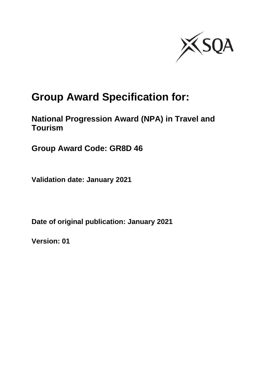

# **Group Award Specification for:**

## **National Progression Award (NPA) in Travel and Tourism**

**Group Award Code: GR8D 46**

**Validation date: January 2021**

**Date of original publication: January 2021**

**Version: 01**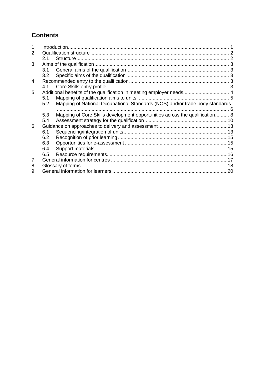## **Contents**

| 2 |         |                                                                              |  |
|---|---------|------------------------------------------------------------------------------|--|
|   | $2.1 -$ |                                                                              |  |
| 3 |         |                                                                              |  |
|   | 3.1     |                                                                              |  |
|   | 3.2     |                                                                              |  |
| 4 |         |                                                                              |  |
|   | 4.1     |                                                                              |  |
| 5 |         | Additional benefits of the qualification in meeting employer needs 4         |  |
|   | 5.1     |                                                                              |  |
|   | 5.2     | Mapping of National Occupational Standards (NOS) and/or trade body standards |  |
|   |         |                                                                              |  |
|   | 5.3     | Mapping of Core Skills development opportunities across the qualification 8  |  |
|   | 5.4     |                                                                              |  |
| 6 |         |                                                                              |  |
|   | 6.1     |                                                                              |  |
|   | 6.2     |                                                                              |  |
|   | 6.3     |                                                                              |  |
|   | 6.4     |                                                                              |  |
|   | 6.5     |                                                                              |  |
| 7 |         |                                                                              |  |
| 8 |         |                                                                              |  |
| 9 |         |                                                                              |  |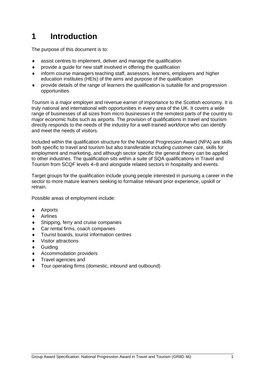## <span id="page-2-0"></span>**1 Introduction**

The purpose of this document is to:

- assist centres to implement, deliver and manage the qualification
- provide a guide for new staff involved in offering the qualification
- inform course managers teaching staff, assessors, learners, employers and higher education institutes (HEIs) of the aims and purpose of the qualification
- provide details of the range of learners the qualification is suitable for and progression opportunities

Tourism is a major employer and revenue earner of importance to the Scottish economy. It is truly national and international with opportunities in every area of the UK. It covers a wide range of businesses of all sizes from micro businesses in the remotest parts of the country to major economic hubs such as airports. The provision of qualifications in travel and tourism directly responds to the needs of the industry for a well-trained workforce who can identify and meet the needs of visitors.

Included within the qualification structure for the National Progression Award (NPA) are skills both specific to travel and tourism but also transferable including customer care, skills for employment and marketing, and although sector specific the general theory can be applied to other industries. The qualification sits within a suite of SQA qualifications in Travel and Tourism from SCQF levels 4–8 and alongside related sectors in hospitality and events.

Target groups for the qualification include young people interested in pursuing a career in the sector to more mature learners seeking to formalise relevant prior experience, upskill or retrain.

Possible areas of employment include:

- ◆ Airports
- Airlines
- Shipping, ferry and cruise companies
- Car rental firms, coach companies
- Tourist boards, tourist information centres
- Visitor attractions
- **+** Guiding
- ◆ Accommodation providers
- Travel agencies and
- Tour operating firms (domestic, inbound and outbound)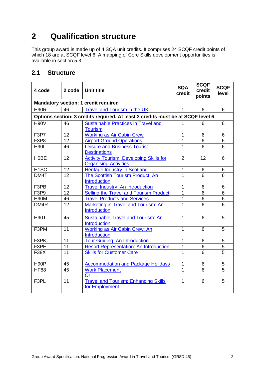## <span id="page-3-0"></span>**2 Qualification structure**

This group award is made up of 4 SQA unit credits. It comprises 24 SCQF credit points of which 18 are at SCQF level 6. A mapping of Core Skills development opportunities is available in section 5.3.

### <span id="page-3-1"></span>**2.1 Structure**

| 4 code                                      | 2 code | <b>Unit title</b>                                                               | <b>SQA</b><br>credit | <b>SCQF</b><br>credit<br>points | <b>SCQF</b><br>level |  |  |  |  |  |  |
|---------------------------------------------|--------|---------------------------------------------------------------------------------|----------------------|---------------------------------|----------------------|--|--|--|--|--|--|
| <b>Mandatory section: 1 credit required</b> |        |                                                                                 |                      |                                 |                      |  |  |  |  |  |  |
| <b>H90R</b>                                 | 46     | Travel and Tourism in the UK                                                    | 1                    | 6                               | 6                    |  |  |  |  |  |  |
|                                             |        | Options section: 3 credits required. At least 2 credits must be at SCQF level 6 |                      |                                 |                      |  |  |  |  |  |  |
| <b>H90V</b>                                 | 46     | <b>Sustainable Practices in Travel and</b><br><b>Tourism</b>                    | 1                    | 6                               | 6                    |  |  |  |  |  |  |
| F3P7                                        | 12     | <b>Working as Air Cabin Crew</b>                                                | 1                    | 6                               | 6                    |  |  |  |  |  |  |
| F3P8                                        | 12     | <b>Airport Ground Operations</b>                                                | 1                    | 6                               | 6                    |  |  |  |  |  |  |
| <b>H90L</b>                                 | 46     | <b>Leisure and Business Tourist</b><br><b>Destinations</b>                      | 1                    | 6                               | 6                    |  |  |  |  |  |  |
| H0BE                                        | 12     | <b>Activity Tourism: Developing Skills for</b><br><b>Organising Activities</b>  | $\overline{2}$       | 12                              | 6                    |  |  |  |  |  |  |
| H <sub>1</sub> SC                           | 12     | <b>Heritage Industry in Scotland</b>                                            | 1                    | 6                               | 6                    |  |  |  |  |  |  |
| DM4T                                        | 12     | The Scottish Tourism Product: An<br><b>Introduction</b>                         | 1                    | 6                               | 6                    |  |  |  |  |  |  |
| F3PB                                        | 12     | <b>Travel Industry: An Introduction</b>                                         | 1                    | 6                               | 6                    |  |  |  |  |  |  |
| F <sub>3</sub> P <sub>9</sub>               | 12     | Selling the Travel and Tourism Product                                          | 1                    | 6                               | 6                    |  |  |  |  |  |  |
| <b>H90M</b>                                 | 46     | <b>Travel Products and Services</b>                                             | 1                    | 6                               | $\overline{6}$       |  |  |  |  |  |  |
| DM4R                                        | 12     | Marketing in Travel and Tourism: An<br>Introduction                             | 1                    | 6                               | 6                    |  |  |  |  |  |  |
| <b>H90T</b>                                 | 45     | <b>Sustainable Travel and Tourism: An</b><br><b>Introduction</b>                | $\mathbf{1}$         | 6                               | 5                    |  |  |  |  |  |  |
| F3PM                                        | 11     | Working as Air Cabin Crew: An<br>Introduction                                   | $\mathbf{1}$         | 6                               | 5                    |  |  |  |  |  |  |
| F3PK                                        | 11     | <b>Tour Guiding: An Introduction</b>                                            | 1                    | 6                               | 5                    |  |  |  |  |  |  |
| F3PH                                        | 11     | <b>Resort Representation: An Introduction</b>                                   | 1                    | 6                               | $\overline{5}$       |  |  |  |  |  |  |
| <b>F38X</b>                                 | 11     | <b>Skills for Customer Care</b>                                                 | $\mathbf{1}$         | 6                               | $\overline{5}$       |  |  |  |  |  |  |
| H <sub>90</sub> P                           | 45     | <b>Accommodation and Package Holidays</b>                                       | $\mathbf 1$          | 6                               | 5                    |  |  |  |  |  |  |
| <b>HF88</b>                                 | 45     | <b>Work Placement</b><br>Or                                                     | 1                    | 6                               | $\overline{5}$       |  |  |  |  |  |  |
| F3PL                                        | 11     | <b>Travel and Tourism: Enhancing Skills</b><br>for Employment                   | 1                    | 6                               | 5                    |  |  |  |  |  |  |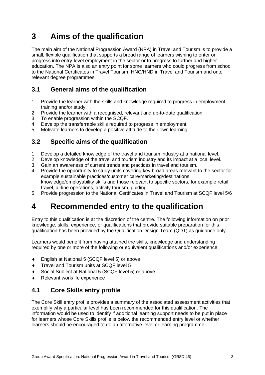## <span id="page-4-0"></span>**3 Aims of the qualification**

The main aim of the National Progression Award (NPA) in Travel and Tourism is to provide a small, flexible qualification that supports a broad range of learners wishing to enter or progress into entry-level employment in the sector or to progress to further and higher education. The NPA is also an entry point for some learners who could progress from school to the National Certificates in Travel Tourism, HNC/HND in Travel and Tourism and onto relevant degree programmes.

### <span id="page-4-1"></span>**3.1 General aims of the qualification**

- 1 Provide the learner with the skills and knowledge required to progress in employment, training and/or study.
- 2 Provide the learner with a recognised, relevant and up-to-date qualification.
- 3 To enable progression within the SCQF.
- 4 Develop the transferrable skills required to progress in employment.<br>5 Motivate learners to develop a positive attitude to their own learning.
- Motivate learners to develop a positive attitude to their own learning.

### <span id="page-4-2"></span>**3.2 Specific aims of the qualification**

- 1 Develop a detailed knowledge of the travel and tourism industry at a national level.
- 2 Develop knowledge of the travel and tourism industry and its impact at a local level.<br>3 Gain an awareness of current trends and practices in travel and tourism.
- Gain an awareness of current trends and practices in travel and tourism.
- 4 Provide the opportunity to study units covering key broad areas relevant to the sector for example sustainable practices/customer care/marketing/destinations knowledge/employability skills and those relevant to specific sectors, for example retail travel, airline operations, activity tourism, guiding.
- 5 Provide progression to the National Certificates in Travel and Tourism at SCQF level 5/6

## <span id="page-4-3"></span>**4 Recommended entry to the qualification**

Entry to this qualification is at the discretion of the centre. The following information on prior knowledge, skills, experience, or qualifications that provide suitable preparation for this qualification has been provided by the Qualification Design Team (QDT) as guidance only.

Learners would benefit from having attained the skills, knowledge and understanding required by one or more of the following or equivalent qualifications and/or experience:

- English at National 5 (SCQF level 5) or above
- Travel and Tourism units at SCQF level 5
- Social Subject at National 5 (SCQF level 5) or above
- Relevant work/life experience

### <span id="page-4-4"></span>**4.1 Core Skills entry profile**

The Core Skill entry profile provides a summary of the associated assessment activities that exemplify why a particular level has been recommended for this qualification. The information would be used to identify if additional learning support needs to be put in place for learners whose Core Skills profile is below the recommended entry level or whether learners should be encouraged to do an alternative level or learning programme.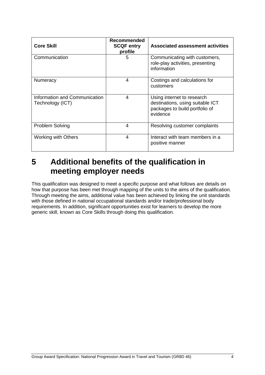| <b>Core Skill</b>                                 | <b>Recommended</b><br><b>SCQF entry</b><br>profile | <b>Associated assessment activities</b>                                                                      |
|---------------------------------------------------|----------------------------------------------------|--------------------------------------------------------------------------------------------------------------|
| Communication                                     | 5                                                  | Communicating with customers,<br>role-play activities, presenting<br>information                             |
| Numeracy                                          | 4                                                  | Costings and calculations for<br>customers                                                                   |
| Information and Communication<br>Technology (ICT) | 4                                                  | Using internet to research<br>destinations, using suitable ICT<br>packages to build portfolio of<br>evidence |
| <b>Problem Solving</b>                            | $\boldsymbol{4}$                                   | Resolving customer complaints                                                                                |
| Working with Others                               | 4                                                  | Interact with team members in a<br>positive manner                                                           |

## <span id="page-5-0"></span>**5 Additional benefits of the qualification in meeting employer needs**

This qualification was designed to meet a specific purpose and what follows are details on how that purpose has been met through mapping of the units to the aims of the qualification. Through meeting the aims, additional value has been achieved by linking the unit standards with those defined in national occupational standards and/or trade/professional body requirements. In addition, significant opportunities exist for learners to develop the more generic skill, known as Core Skills through doing this qualification.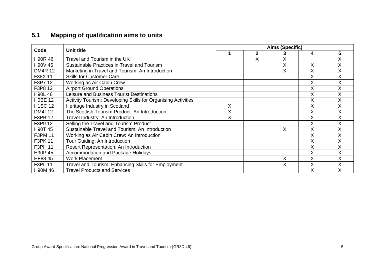## **5.1 Mapping of qualification aims to units**

<span id="page-6-0"></span>

| Code           | Unit title                                                    |   | Aims (Specific) |   |   |   |  |  |  |  |
|----------------|---------------------------------------------------------------|---|-----------------|---|---|---|--|--|--|--|
|                |                                                               |   | $\mathbf{2}$    |   | 4 | 5 |  |  |  |  |
| <b>H90R46</b>  | Travel and Tourism in the UK                                  |   | Χ               | X |   | X |  |  |  |  |
| H90V 46        | Sustainable Practices in Travel and Tourism                   |   |                 | Χ | Χ | X |  |  |  |  |
| <b>DM4R 12</b> | Marketing in Travel and Tourism: An Introduction              |   |                 | X | Χ | X |  |  |  |  |
| F38X 11        | <b>Skills for Customer Care</b>                               |   |                 |   | Χ | X |  |  |  |  |
| F3P7 12        | Working as Air Cabin Crew                                     |   |                 |   | ∧ | X |  |  |  |  |
| F3P8 12        | <b>Airport Ground Operations</b>                              |   |                 |   | Χ | X |  |  |  |  |
| <b>H90L46</b>  | Leisure and Business Tourist Destinations                     |   |                 |   | X | X |  |  |  |  |
| <b>H0BE 12</b> | Activity Tourism: Developing Skills for Organising Activities |   |                 |   | X | X |  |  |  |  |
| <b>H1SC 12</b> | Heritage Industry in Scotland                                 | Χ |                 |   | Χ | X |  |  |  |  |
| <b>DM4T12</b>  | The Scottish Tourism Product: An Introduction                 | X |                 |   | Χ | X |  |  |  |  |
| F3PB 12        | Travel Industry: An Introduction                              | X |                 |   | Χ | X |  |  |  |  |
| F3P9 12        | Selling the Travel and Tourism Product                        |   |                 |   | Χ | X |  |  |  |  |
| H90T 45        | Sustainable Travel and Tourism: An Introduction               |   |                 | Χ |   | X |  |  |  |  |
| F3PM 11        | Working as Air Cabin Crew: An Introduction                    |   |                 |   | Χ | X |  |  |  |  |
| F3PK 11        | Tour Guiding: An Introduction                                 |   |                 |   | Χ | X |  |  |  |  |
| F3PH 11        | Resort Representation: An Introduction                        |   |                 |   | X | X |  |  |  |  |
| H90P 45        | Accommodation and Package Holidays                            |   |                 |   | Χ | X |  |  |  |  |
| HF88 45        | <b>Work Placement</b>                                         |   |                 | X | X | X |  |  |  |  |
| <b>F3PL 11</b> | Travel and Tourism: Enhancing Skills for Employment           |   |                 | X | Χ | X |  |  |  |  |
| <b>H90M46</b>  | <b>Travel Products and Services</b>                           |   |                 |   | Χ | X |  |  |  |  |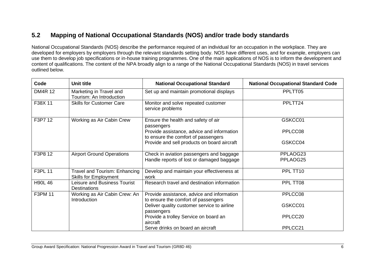### **5.2 Mapping of National Occupational Standards (NOS) and/or trade body standards**

National Occupational Standards (NOS) describe the performance required of an individual for an occupation in the workplace. They are developed for employers by employers through the relevant standards setting body. NOS have different uses, and for example, employers can use them to develop job specifications or in-house training programmes. One of the main applications of NOS is to inform the development and content of qualifications. The content of the NPA broadly align to a range of the National Occupational Standards (NOS) in travel services outlined below.

<span id="page-7-0"></span>

| Code           | Unit title                                                    | <b>National Occupational Standard</b>                                                 | <b>National Occupational Standard Code</b> |
|----------------|---------------------------------------------------------------|---------------------------------------------------------------------------------------|--------------------------------------------|
| <b>DM4R 12</b> | Marketing in Travel and<br>Tourism: An Introduction           | Set up and maintain promotional displays                                              | PPLTT05                                    |
| F38X 11        | <b>Skills for Customer Care</b>                               | Monitor and solve repeated customer<br>service problems                               | PPLTT24                                    |
| F3P7 12        | Working as Air Cabin Crew                                     | Ensure the health and safety of air<br>passengers                                     | GSKCC01                                    |
|                |                                                               | Provide assistance, advice and information<br>to ensure the comfort of passengers     | PPLCC08                                    |
|                |                                                               | Provide and sell products on board aircraft                                           | GSKCC04                                    |
| F3P8 12        | <b>Airport Ground Operations</b>                              | Check in aviation passengers and baggage<br>Handle reports of lost or damaged baggage | PPLAOG23<br>PPLAOG25                       |
| <b>F3PL 11</b> | Travel and Tourism: Enhancing<br><b>Skills for Employment</b> | Develop and maintain your effectiveness at<br>work                                    | PPL TT10                                   |
| <b>H90L46</b>  | <b>Leisure and Business Tourist</b><br><b>Destinations</b>    | Research travel and destination information                                           | PPL TT08                                   |
| F3PM 11        | Working as Air Cabin Crew: An<br>Introduction                 | Provide assistance, advice and information<br>to ensure the comfort of passengers     | PPLCC08                                    |
|                |                                                               | Deliver quality customer service to airline<br>passengers                             | GSKCC01                                    |
|                |                                                               | Provide a trolley Service on board an<br>aircraft                                     | PPLCC20                                    |
|                |                                                               | Serve drinks on board an aircraft                                                     | PPLCC21                                    |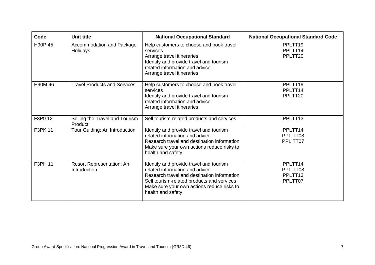| Code          | <b>Unit title</b>                         | <b>National Occupational Standard</b>                                                                                                                                                                                                     | <b>National Occupational Standard Code</b>            |
|---------------|-------------------------------------------|-------------------------------------------------------------------------------------------------------------------------------------------------------------------------------------------------------------------------------------------|-------------------------------------------------------|
| H90P 45       | Accommodation and Package<br>Holidays     | Help customers to choose and book travel<br>services<br>Arrange travel itineraries<br>Identify and provide travel and tourism<br>related information and advice<br>Arrange travel itineraries                                             | PPLTT19<br>PPLTT14<br>PPLTT20                         |
| <b>H90M46</b> | <b>Travel Products and Services</b>       | Help customers to choose and book travel<br>services<br>Identify and provide travel and tourism<br>related information and advice<br>Arrange travel itineraries                                                                           | PPLTT19<br>PPLTT14<br>PPLTT20                         |
| F3P9 12       | Selling the Travel and Tourism<br>Product | Sell tourism-related products and services                                                                                                                                                                                                | PPLTT <sub>13</sub>                                   |
| F3PK 11       | Tour Guiding: An Introduction             | Identify and provide travel and tourism<br>related information and advice<br>Research travel and destination information<br>Make sure your own actions reduce risks to<br>health and safety                                               | PPLTT14<br>PPL TT08<br>PPL TT07                       |
| F3PH 11       | Resort Representation: An<br>Introduction | Identify and provide travel and tourism<br>related information and advice<br>Research travel and destination information<br>Sell tourism-related products and services<br>Make sure your own actions reduce risks to<br>health and safety | PPLTT14<br>PPL TT08<br>PPLTT <sub>13</sub><br>PPLTT07 |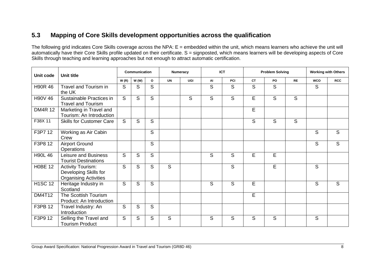### **5.3 Mapping of Core Skills development opportunities across the qualification**

The following grid indicates Core Skills coverage across the NPA: E = embedded within the unit, which means learners who achieve the unit will automatically have their Core Skills profile updated on their certificate. S = signposted, which means learners will be developing aspects of Core Skills through teaching and learning approaches but not enough to attract automatic certification.

<span id="page-9-0"></span>

| Unit code      | <b>Unit title</b>                                                                 |                | <b>Communication</b> |              |           | Numeracy |    | <b>ICT</b> |           | <b>Problem Solving</b> |           |            | <b>Working with Others</b> |
|----------------|-----------------------------------------------------------------------------------|----------------|----------------------|--------------|-----------|----------|----|------------|-----------|------------------------|-----------|------------|----------------------------|
|                |                                                                                   | W(R)           | W(W)                 | $\mathbf{o}$ | <b>UN</b> | UGI      | AI | PCI        | <b>CT</b> | PO                     | <b>RE</b> | <b>WCO</b> | <b>RCC</b>                 |
| H90R 46        | Travel and Tourism in<br>the UK                                                   | S              | S                    | S            |           |          | S  | S          | S         | S                      |           | S          |                            |
| H90V 46        | Sustainable Practices in<br><b>Travel and Tourism</b>                             | $\overline{S}$ | S                    | S            |           | S        | S  | S          | E         | S                      | S         |            |                            |
| <b>DM4R 12</b> | Marketing in Travel and<br>Tourism: An Introduction                               |                |                      |              |           |          |    |            | E         |                        |           |            |                            |
| F38X 11        | <b>Skills for Customer Care</b>                                                   | S              | S                    | S            |           |          |    |            | S         | S                      | S         |            |                            |
| F3P7 12        | Working as Air Cabin<br>Crew                                                      |                |                      | S            |           |          |    |            |           |                        |           | S          | S                          |
| F3P8 12        | <b>Airport Ground</b><br>Operations                                               |                |                      | S            |           |          |    |            |           |                        |           | S          | S                          |
| <b>H90L 46</b> | Leisure and Business<br><b>Tourist Destinations</b>                               | S              | S                    | S            |           |          | S  | S          | E         | E                      |           |            |                            |
| <b>H0BE 12</b> | <b>Activity Tourism:</b><br>Developing Skills for<br><b>Organising Activities</b> | S              | S                    | S            | S         |          |    | S          |           | E                      |           | S          |                            |
| <b>H1SC 12</b> | Heritage Industry in<br>Scotland                                                  | S              | S                    | S            |           |          | S  | S          | E         |                        |           | S          | S                          |
| <b>DM4T12</b>  | The Scottish Tourism<br>Product: An Introduction                                  |                |                      |              |           |          |    |            | E         |                        |           |            |                            |
| F3PB 12        | Travel Industry: An<br>Introduction                                               | S              | S                    | S            |           |          |    |            |           |                        |           |            |                            |
| F3P9 12        | Selling the Travel and<br><b>Tourism Product</b>                                  | S              | S                    | S            | S         |          | S  | S          | S         | S                      |           | S          |                            |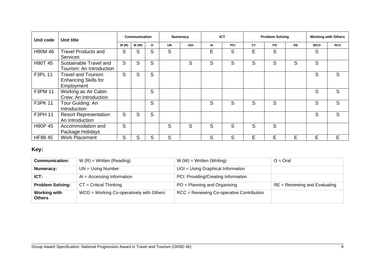| Unit code      | Unit title                                                       |      | <b>Communication</b> |              |           | Numeracy   |    | <b>ICT</b> |           | <b>Problem Solving</b> |           |            | <b>Working with Others</b> |
|----------------|------------------------------------------------------------------|------|----------------------|--------------|-----------|------------|----|------------|-----------|------------------------|-----------|------------|----------------------------|
|                |                                                                  | W(R) | W(W)                 | $\mathbf{o}$ | <b>UN</b> | <b>UGI</b> | AI | <b>PCI</b> | <b>CT</b> | PO.                    | <b>RE</b> | <b>WCO</b> | <b>RCC</b>                 |
| H90M 46        | <b>Travel Products and</b><br><b>Services</b>                    | S    | S                    | S            | S         |            | Е  | S          | E         | S                      |           | S          |                            |
| <b>H90T 45</b> | Sustainable Travel and<br>Tourism: An Introduction               | S    | S                    | S            |           | S          | S  | S          | S         | S                      | S         | S          |                            |
| <b>F3PL 11</b> | Travel and Tourism:<br><b>Enhancing Skills for</b><br>Employment | S    | S                    | S            |           |            |    |            |           |                        |           | S          | S                          |
| F3PM 11        | Working as Air Cabin<br>Crew: An Introduction                    |      |                      | S            |           |            |    |            |           |                        |           | S          | S                          |
| F3PK 11        | Tour Guiding: An<br>Introduction                                 |      |                      | S            |           |            | S  | S          | S         | S                      |           | S          | S                          |
| F3PH 11        | <b>Resort Representation:</b><br>An Introduction                 | S    | S                    | S            |           |            |    |            |           |                        |           | S          | S                          |
| H90P 45        | Accommodation and<br>Package Holidays                            | S    |                      |              | S         | S          | S  | S          | S         | S                      |           |            |                            |
| HF88 45        | <b>Work Placement</b>                                            | S    | S                    | S            | S         |            | S  | S          | E         | E                      | E         | E          | E                          |

### **Key:**

| <b>Communication:</b>         | $W(R)$ = Written (Reading)                 | $W(W) = W$ ritten (Writing)               | $O = Q$ ral                     |
|-------------------------------|--------------------------------------------|-------------------------------------------|---------------------------------|
| Numeracy:                     | $UN = Using Number$                        | UGI = Using Graphical Information         |                                 |
| ICT:                          | $AI = Accessing Information$               | PCI: Providing/Creating Information       |                                 |
| <b>Problem Solving:</b>       | $CT = Critical Thinking$                   | $PO = Planning$ and Organising            | $RE = Reviewing$ and Evaluating |
| <b>Working with</b><br>Others | $WCO = Working Co-operatively with Others$ | RCC = Reviewing Co-operative Contribution |                                 |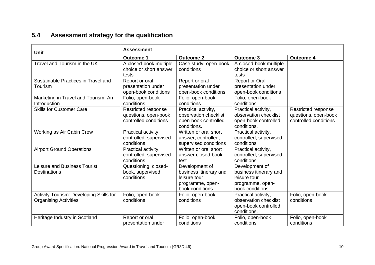## **5.4 Assessment strategy for the qualification**

<span id="page-11-0"></span>

| <b>Unit</b>                                                             | <b>Assessment</b>                                                    |                                                                                                 |                                                                                                 |                                                                      |  |  |  |  |  |
|-------------------------------------------------------------------------|----------------------------------------------------------------------|-------------------------------------------------------------------------------------------------|-------------------------------------------------------------------------------------------------|----------------------------------------------------------------------|--|--|--|--|--|
|                                                                         | <b>Outcome 1</b>                                                     | <b>Outcome 2</b>                                                                                | <b>Outcome 3</b>                                                                                | <b>Outcome 4</b>                                                     |  |  |  |  |  |
| Travel and Tourism in the UK                                            | A closed-book multiple<br>choice or short answer<br>tests            | Case study, open-book<br>conditions                                                             | A closed-book multiple<br>choice or short answer<br>tests                                       |                                                                      |  |  |  |  |  |
| Sustainable Practices in Travel and<br>Tourism                          | Report or oral<br>presentation under<br>open-book conditions         | Report or oral<br>presentation under<br>open-book conditions                                    | <b>Report or Oral</b><br>presentation under<br>open-book conditions                             |                                                                      |  |  |  |  |  |
| Marketing in Travel and Tourism: An<br>Introduction                     | Folio, open-book<br>conditions                                       | Folio, open-book<br>conditions                                                                  | Folio, open-book<br>conditions                                                                  |                                                                      |  |  |  |  |  |
| <b>Skills for Customer Care</b>                                         | Restricted response<br>questions. open-book<br>controlled conditions | Practical activity,<br>observation checklist<br>open-book controlled<br>conditions.             | Practical activity,<br>observation checklist<br>open-book controlled<br>conditions.             | Restricted response<br>questions. open-book<br>controlled conditions |  |  |  |  |  |
| Working as Air Cabin Crew                                               | Practical activity,<br>controlled, supervised<br>conditions          | Written or oral short<br>answer, controlled,<br>supervised conditions                           | Practical activity,<br>controlled, supervised<br>conditions                                     |                                                                      |  |  |  |  |  |
| <b>Airport Ground Operations</b>                                        | Practical activity,<br>controlled, supervised<br>conditions          | Written or oral short<br>answer closed-book<br>test                                             | Practical activity,<br>controlled, supervised<br>conditions                                     |                                                                      |  |  |  |  |  |
| <b>Leisure and Business Tourist</b><br><b>Destinations</b>              | Questioning, closed-<br>book, supervised<br>conditions               | Development of<br>business itinerary and<br>leisure tour<br>programme, open-<br>book conditions | Development of<br>business itinerary and<br>leisure tour<br>programme, open-<br>book conditions |                                                                      |  |  |  |  |  |
| Activity Tourism: Developing Skills for<br><b>Organising Activities</b> | Folio, open-book<br>conditions                                       | Folio, open-book<br>conditions                                                                  | Practical activity,<br>observation checklist<br>open-book controlled<br>conditions.             | Folio, open-book<br>conditions                                       |  |  |  |  |  |
| Heritage Industry in Scotland                                           | Report or oral<br>presentation under                                 | Folio, open-book<br>conditions                                                                  | Folio, open-book<br>conditions                                                                  | Folio, open-book<br>conditions                                       |  |  |  |  |  |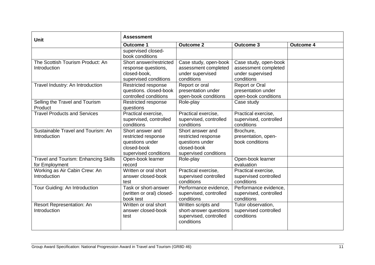| <b>Unit</b>                                            | <b>Assessment</b>                                                                                  |                                                                                                    |                                                                                 |                  |
|--------------------------------------------------------|----------------------------------------------------------------------------------------------------|----------------------------------------------------------------------------------------------------|---------------------------------------------------------------------------------|------------------|
|                                                        | <b>Outcome 1</b>                                                                                   | <b>Outcome 2</b>                                                                                   | <b>Outcome 3</b>                                                                | <b>Outcome 4</b> |
|                                                        | supervised closed-<br>book conditions                                                              |                                                                                                    |                                                                                 |                  |
| The Scottish Tourism Product: An<br>Introduction       | Short answer/restricted<br>response questions,<br>closed-book,<br>supervised conditions            | Case study, open-book<br>assessment completed<br>under supervised<br>conditions                    | Case study, open-book<br>assessment completed<br>under supervised<br>conditions |                  |
| Travel Industry: An Introduction                       | Restricted response<br>questions. closed-book<br>controlled conditions                             | Report or oral<br>presentation under<br>open-book conditions                                       | <b>Report or Oral</b><br>presentation under<br>open-book conditions             |                  |
| Selling the Travel and Tourism<br>Product              | Restricted response<br>questions                                                                   | Role-play                                                                                          | Case study                                                                      |                  |
| <b>Travel Products and Services</b>                    | Practical exercise,<br>supervised, controlled<br>conditions                                        | Practical exercise,<br>supervised, controlled<br>conditions                                        | Practical exercise,<br>supervised, controlled<br>conditions                     |                  |
| Sustainable Travel and Tourism: An<br>Introduction     | Short answer and<br>restricted response<br>questions under<br>closed-book<br>supervised conditions | Short answer and<br>restricted response<br>questions under<br>closed-book<br>supervised conditions | Brochure,<br>presentation, open-<br>book conditions                             |                  |
| Travel and Tourism: Enhancing Skills<br>for Employment | Open-book learner<br>record                                                                        | Role-play                                                                                          | Open-book learner<br>evaluation                                                 |                  |
| Working as Air Cabin Crew: An<br>Introduction          | Written or oral short<br>answer closed-book<br>test                                                | Practical exercise,<br>supervised controlled<br>conditions                                         | Practical exercise,<br>supervised controlled<br>conditions                      |                  |
| Tour Guiding: An Introduction                          | Task or short-answer<br>(written or oral) closed-<br>book test                                     | Performance evidence,<br>supervised, controlled<br>conditions                                      | Performance evidence,<br>supervised, controlled<br>conditions                   |                  |
| Resort Representation: An<br>Introduction              | Written or oral short<br>answer closed-book<br>test                                                | Written scripts and<br>short-answer questions<br>supervised, controlled<br>conditions              | Tutor observation,<br>supervised controlled<br>conditions                       |                  |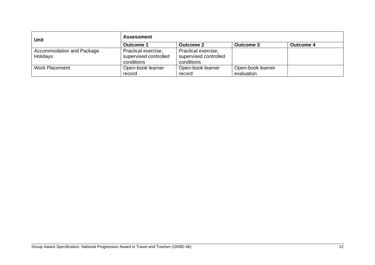| <b>Unit</b>               | <b>Assessment</b>     |                       |                   |           |
|---------------------------|-----------------------|-----------------------|-------------------|-----------|
|                           | Outcome 1             | <b>Outcome 2</b>      | Outcome 3         | Outcome 4 |
| Accommodation and Package | Practical exercise,   | Practical exercise,   |                   |           |
| Holidays                  | supervised controlled | supervised controlled |                   |           |
|                           | conditions            | conditions            |                   |           |
| <b>Work Placement</b>     | Open-book learner     | Open-book learner     | Open-book learner |           |
|                           | record                | record                | evaluation        |           |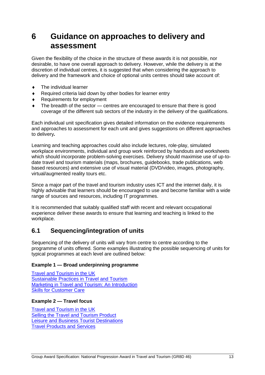## <span id="page-14-0"></span>**6 Guidance on approaches to delivery and assessment**

Given the flexibility of the choice in the structure of these awards it is not possible, nor desirable, to have one overall approach to delivery. However, while the delivery is at the discretion of individual centres, it is suggested that when considering the approach to delivery and the framework and choice of optional units centres should take account of:

- $\bullet$  The individual learner
- ◆ Required criteria laid down by other bodies for learner entry
- Requirements for employment
- The breadth of the sector centres are encouraged to ensure that there is good coverage of the different sub sectors of the industry in the delivery of the qualifications.

Each individual unit specification gives detailed information on the evidence requirements and approaches to assessment for each unit and gives suggestions on different approaches to delivery*.*

Learning and teaching approaches could also include lectures, role-play, simulated workplace environments, individual and group work reinforced by handouts and worksheets which should incorporate problem-solving exercises. Delivery should maximise use of up-todate travel and tourism materials (maps, brochures, guidebooks, trade publications, web based resources) and extensive use of visual material (DVD/video, images, photography, virtual/augmented reality tours etc.

Since a major part of the travel and tourism industry uses ICT and the internet daily, it is highly advisable that learners should be encouraged to use and become familiar with a wide range of sources and resources, including IT programmes.

It is recommended that suitably qualified staff with recent and relevant occupational experience deliver these awards to ensure that learning and teaching is linked to the workplace.

### <span id="page-14-1"></span>**6.1 Sequencing/integration of units**

Sequencing of the delivery of units will vary from centre to centre according to the programme of units offered. Some examples illustrating the possible sequencing of units for typical programmes at each level are outlined below:

#### **Example 1 — Broad underpinning programme**

[Travel and Tourism in the UK](https://www.sqa.org.uk/files/nq/H90R46.pdf) [Sustainable Practices in Travel and Tourism](https://www.sqa.org.uk/files/nq/H90V46.pdf) [Marketing in Travel and Tourism: An Introduction](https://www.sqa.org.uk/files/nq/DM4R_12.pdf) [Skills for Customer Care](https://www.sqa.org.uk/sqa/files/nq/F38X11.pdf)

#### **Example 2 — Travel focus**

[Travel and Tourism in the UK](https://www.sqa.org.uk/files/nq/H90R46.pdf) [Selling the Travel and Tourism Product](https://www.sqa.org.uk/files/nq/F3P912.pdf) [Leisure and Business Tourist Destinations](https://www.sqa.org.uk/files/nq/H90L46.pdf) [Travel Products and Services](https://www.sqa.org.uk/files/nq/H90M46.pdf)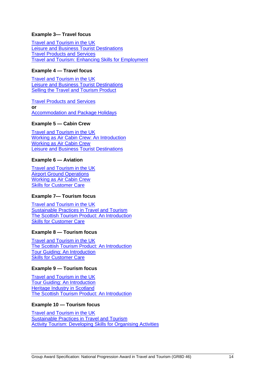#### **Example 3— Travel focus**

[Travel and Tourism in the UK](https://www.sqa.org.uk/files/nq/H90R46.pdf) [Leisure and Business Tourist Destinations](https://www.sqa.org.uk/files/nq/H90L46.pdf) [Travel Products and Services](https://www.sqa.org.uk/files/nq/H90M46.pdf) [Travel and Tourism: Enhancing Skills for Employment](https://www.sqa.org.uk/files/nq/F3PL11.pdf)

#### **Example 4 — Travel focus**

[Travel and Tourism in the UK](https://www.sqa.org.uk/files/nq/H90R46.pdf) [Leisure and Business Tourist Destinations](https://www.sqa.org.uk/files/nq/H90L46.pdf) **[Selling the Travel and Tourism Product](https://www.sqa.org.uk/files/nq/F3P912.pdf)** 

[Travel Products and Services](https://www.sqa.org.uk/files/nq/H90M46.pdf) **or** [Accommodation and Package Holidays](https://www.sqa.org.uk/files/nq/H90P45.pdf)

#### **Example 5 — Cabin Crew**

[Travel and Tourism in the UK](https://www.sqa.org.uk/files/nq/H90R46.pdf) [Working as Air Cabin Crew: An Introduction](https://www.sqa.org.uk/files/nq/F3PM11.pdf) [Working as Air Cabin Crew](https://www.sqa.org.uk/files/nq/F3P712.pdf) [Leisure and Business Tourist Destinations](https://www.sqa.org.uk/files/nq/H90L46.pdf)

#### **Example 6 — Aviation**

[Travel and Tourism in the UK](https://www.sqa.org.uk/files/nq/H90R46.pdf) [Airport Ground Operations](https://www.sqa.org.uk/files/nq/F3P812.pdf) [Working as Air Cabin Crew](https://www.sqa.org.uk/files/nq/F3P712.pdf) **[Skills for Customer Care](https://www.sqa.org.uk/sqa/files/nq/F38X11.pdf)** 

#### **Example 7— Tourism focus**

[Travel and Tourism in the UK](https://www.sqa.org.uk/files/nq/H90R46.pdf) **[Sustainable Practices in Travel and Tourism](https://www.sqa.org.uk/files/nq/H90V46.pdf)** [The Scottish Tourism Product: An Introduction](https://www.sqa.org.uk/files/nq/DM4T12.pdf) [Skills for Customer Care](https://www.sqa.org.uk/sqa/files/nq/F38X11.pdf)

#### **Example 8 — Tourism focus**

[Travel and Tourism in the UK](https://www.sqa.org.uk/files/nq/H90R46.pdf) [The Scottish Tourism Product: An Introduction](https://www.sqa.org.uk/files/nq/DM4T12.pdf) [Tour Guiding: An Introduction](https://www.sqa.org.uk/files/nq/F3PK11.pdf) [Skills for Customer Care](https://www.sqa.org.uk/sqa/files/nq/F38X11.pdf)

#### **Example 9 — Tourism focus**

[Travel and Tourism in the UK](https://www.sqa.org.uk/files/nq/H90R46.pdf) [Tour Guiding: An Introduction](https://www.sqa.org.uk/files/nq/F3PK11.pdf) [Heritage Industry in](https://www.sqa.org.uk/files/nq/H1SC12.pdf) Scotland [The Scottish Tourism Product: An Introduction](https://www.sqa.org.uk/files/nq/DM4T12.pdf)

#### **Example 10 — Tourism focus**

[Travel and Tourism in the UK](https://www.sqa.org.uk/files/nq/H90R46.pdf) [Sustainable Practices in Travel and Tourism](https://www.sqa.org.uk/files/nq/H90V46.pdf) [Activity Tourism: Developing Skills for Organising Activities](https://www.sqa.org.uk/files/nq/H0BE12.pdf)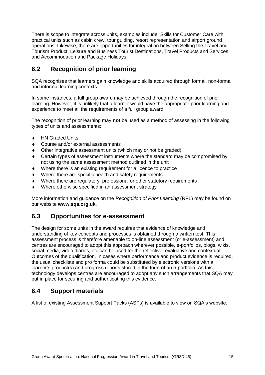There is scope to integrate across units, examples include: Skills for Customer Care with practical units such as cabin crew, tour guiding, resort representation and airport ground operations. Likewise, there are opportunities for integration between Selling the Travel and Tourism Product. Leisure and Business Tourist Destinations, Travel Products and Services and Accommodation and Package Holidays.

### <span id="page-16-0"></span>**6.2 Recognition of prior learning**

SQA recognises that learners gain knowledge and skills acquired through formal, non-formal and informal learning contexts.

In some instances, a full group award may be achieved through the recognition of prior learning. However, it is unlikely that a learner would have the appropriate prior learning and experience to meet all the requirements of a full group award.

The recognition of prior learning may **not** be used as a method of assessing in the following types of units and assessments:

- ◆ HN Graded Units
- Course and/or external assessments
- Other integrative assessment units (which may or not be graded)
- Certain types of assessment instruments where the standard may be compromised by not using the same assessment method outlined in the unit
- Where there is an existing requirement for a licence to practice
- Where there are specific health and safety requirements
- Where there are regulatory, professional or other statutory requirements
- Where otherwise specified in an assessment strategy

More information and guidance on the *Recognition of Prior Learning* (RPL) may be found on our website **[www.sqa.org.uk](http://www.sqa.org.uk/)**.

### <span id="page-16-1"></span>**6.3 Opportunities for e-assessment**

The design for some units in the award requires that evidence of knowledge and understanding of key concepts and processes is obtained through a written test. This assessment process is therefore amenable to on-line assessment (or e-assessment) and centres are encouraged to adopt this approach wherever possible, e-portfolios, blogs, wikis, social media, video diaries, etc can be used for the reflective, evaluative and contextual Outcomes of the qualification. In cases where performance and product evidence is required, the usual checklists and pro forma could be substituted by electronic versions with a learner's product(s) and progress reports stored in the form of an e-portfolio. As this technology develops centres are encouraged to adopt any such arrangements that SQA may put in place for securing and authenticating this evidence.

### <span id="page-16-2"></span>**6.4 Support materials**

A [list of existing Assessment Support Packs \(ASPs\)](http://www.sqa.org.uk/sqa/46233.2769.html) is available to view on SQA's website.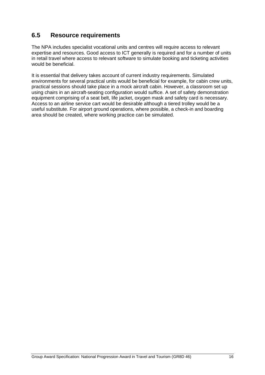### <span id="page-17-0"></span>**6.5 Resource requirements**

The NPA includes specialist vocational units and centres will require access to relevant expertise and resources. Good access to ICT generally is required and for a number of units in retail travel where access to relevant software to simulate booking and ticketing activities would be beneficial.

It is essential that delivery takes account of current industry requirements. Simulated environments for several practical units would be beneficial for example, for cabin crew units, practical sessions should take place in a mock aircraft cabin. However, a classroom set up using chairs in an aircraft-seating configuration would suffice. A set of safety demonstration equipment comprising of a seat belt, life jacket, oxygen mask and safety card is necessary. Access to an airline service cart would be desirable although a tiered trolley would be a useful substitute. For airport ground operations, where possible, a check-in and boarding area should be created, where working practice can be simulated.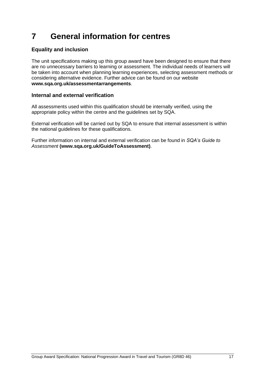## <span id="page-18-0"></span>**7 General information for centres**

### **Equality and inclusion**

The unit specifications making up this group award have been designed to ensure that there are no unnecessary barriers to learning or assessment. The individual needs of learners will be taken into account when planning learning experiences, selecting assessment methods or considering alternative evidence. Further advice can be found on our website **[www.sqa.org.uk/assessmentarrangements](http://www.sqa.org.uk/sqa/14977.html)**.

#### **Internal and external verification**

All assessments used within this qualification should be internally verified, using the appropriate policy within the centre and the guidelines set by SQA.

External verification will be carried out by SQA to ensure that internal assessment is within the national guidelines for these qualifications.

Further information on internal and external verification can be found in *SQA's Guide to Assessment* **[\(www.sqa.org.uk/GuideToAssessment\)](http://www.sqa.org.uk/sqa/files_ccc/GuideToAssessment.pdf)**.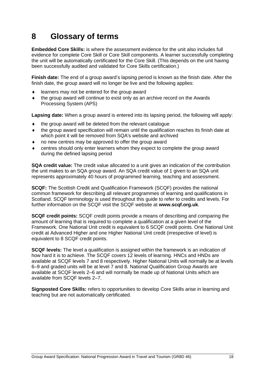## <span id="page-19-0"></span>**8 Glossary of terms**

**Embedded Core Skills:** is where the assessment evidence for the unit also includes full evidence for complete Core Skill or Core Skill components. A learner successfully completing the unit will be automatically certificated for the Core Skill. (This depends on the unit having been successfully audited and validated for Core Skills certification.)

**Finish date:** The end of a group award's lapsing period is known as the finish date. After the finish date, the group award will no longer be live and the following applies:

- learners may not be entered for the group award
- the group award will continue to exist only as an archive record on the Awards Processing System (APS)

**Lapsing date:** When a group award is entered into its lapsing period, the following will apply:

- $\bullet$  the group award will be deleted from the relevant catalogue
- the group award specification will remain until the qualification reaches its finish date at which point it will be removed from SQA's website and archived
- no new centres may be approved to offer the group award
- centres should only enter learners whom they expect to complete the group award during the defined lapsing period

**SQA credit value:** The credit value allocated to a unit gives an indication of the contribution the unit makes to an SQA group award. An SQA credit value of 1 given to an SQA unit represents approximately 40 hours of programmed learning, teaching and assessment.

**SCQF:** The Scottish Credit and Qualification Framework (SCQF) provides the national common framework for describing all relevant programmes of learning and qualifications in Scotland. SCQF terminology is used throughout this guide to refer to credits and levels. For further information on the SCQF visit the SCQF website at **[www.scqf.org.uk](http://www.scqf.org.uk/)**.

**SCQF credit points:** SCQF credit points provide a means of describing and comparing the amount of learning that is required to complete a qualification at a given level of the Framework. One National Unit credit is equivalent to 6 SCQF credit points. One National Unit credit at Advanced Higher and one Higher National Unit credit (irrespective of level) is equivalent to 8 SCQF credit points.

**SCQF levels:** The level a qualification is assigned within the framework is an indication of how hard it is to achieve. The SCQF covers 12 levels of learning. HNCs and HNDs are available at SCQF levels 7 and 8 respectively. Higher National Units will normally be at levels 6–9 and graded units will be at level 7 and 8. National Qualification Group Awards are available at SCQF levels 2–6 and will normally be made up of National Units which are available from SCQF levels 2–7.

**Signposted Core Skills:** refers to opportunities to develop Core Skills arise in learning and teaching but are not automatically certificated.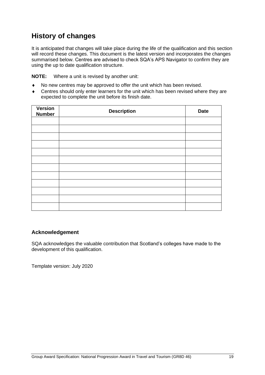## **History of changes**

It is anticipated that changes will take place during the life of the qualification and this section will record these changes. This document is the latest version and incorporates the changes summarised below. Centres are advised to check SQA's APS Navigator to confirm they are using the up to date qualification structure.

**NOTE:** Where a unit is revised by another unit:

- No new centres may be approved to offer the unit which has been revised.
- Centres should only enter learners for the unit which has been revised where they are expected to complete the unit before its finish date.

| Version<br><b>Number</b> | <b>Description</b> | <b>Date</b> |
|--------------------------|--------------------|-------------|
|                          |                    |             |
|                          |                    |             |
|                          |                    |             |
|                          |                    |             |
|                          |                    |             |
|                          |                    |             |
|                          |                    |             |
|                          |                    |             |
|                          |                    |             |
|                          |                    |             |
|                          |                    |             |
|                          |                    |             |

#### **Acknowledgement**

SQA acknowledges the valuable contribution that Scotland's colleges have made to the development of this qualification.

Template version: July 2020